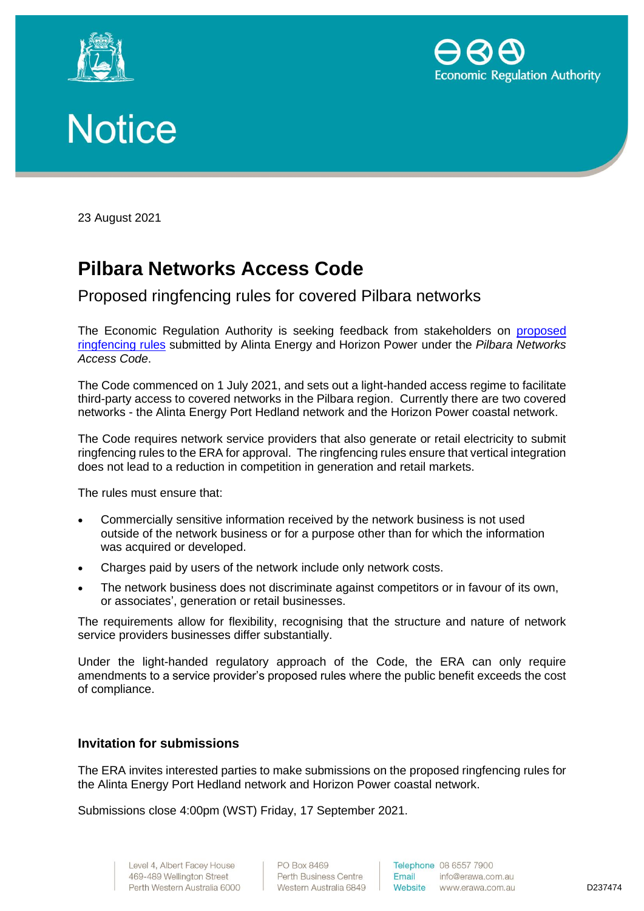





23 August 2021

## **Pilbara Networks Access Code**

Proposed ringfencing rules for covered Pilbara networks

The Economic Regulation Authority is seeking feedback from stakeholders on [proposed](https://www.erawa.com.au/electricity/electricity-access/pilbara-networks-ringfencing)  [ringfencing rules](https://www.erawa.com.au/electricity/electricity-access/pilbara-networks-ringfencing) submitted by Alinta Energy and Horizon Power under the *Pilbara Networks Access Code*.

The Code commenced on 1 July 2021, and sets out a light-handed access regime to facilitate third-party access to covered networks in the Pilbara region. Currently there are two covered networks - the Alinta Energy Port Hedland network and the Horizon Power coastal network.

The Code requires network service providers that also generate or retail electricity to submit ringfencing rules to the ERA for approval. The ringfencing rules ensure that vertical integration does not lead to a reduction in competition in generation and retail markets.

The rules must ensure that:

- Commercially sensitive information received by the network business is not used outside of the network business or for a purpose other than for which the information was acquired or developed.
- Charges paid by users of the network include only network costs.
- The network business does not discriminate against competitors or in favour of its own, or associates', generation or retail businesses.

The requirements allow for flexibility, recognising that the structure and nature of network service providers businesses differ substantially.

Under the light-handed regulatory approach of the Code, the ERA can only require amendments to a service provider's proposed rules where the public benefit exceeds the cost of compliance.

## **Invitation for submissions**

The ERA invites interested parties to make submissions on the proposed ringfencing rules for the Alinta Energy Port Hedland network and Horizon Power coastal network.

Submissions close 4:00pm (WST) Friday, 17 September 2021.